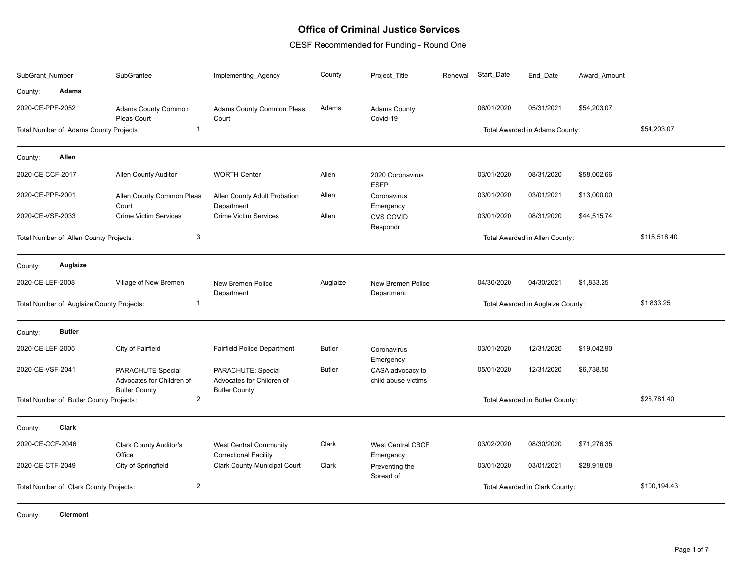## **Office of Criminal Justice Services**

CESF Recommended for Funding - Round One

| SubGrant Number                                           |                                         | SubGrantee                                                             | Implementing Agency                                                     | County        | Project Title                           | Renewal | Start Date | End Date                          | Award Amount |              |
|-----------------------------------------------------------|-----------------------------------------|------------------------------------------------------------------------|-------------------------------------------------------------------------|---------------|-----------------------------------------|---------|------------|-----------------------------------|--------------|--------------|
| County:                                                   | <b>Adams</b>                            |                                                                        |                                                                         |               |                                         |         |            |                                   |              |              |
| 2020-CE-PPF-2052                                          |                                         | <b>Adams County Common</b><br>Pleas Court                              | Adams County Common Pleas<br>Court                                      | Adams         | <b>Adams County</b><br>Covid-19         |         | 06/01/2020 | 05/31/2021                        | \$54,203.07  |              |
|                                                           | Total Number of Adams County Projects:  | $\mathbf{1}$                                                           |                                                                         |               |                                         |         |            | Total Awarded in Adams County:    |              | \$54,203.07  |
| County:                                                   | Allen                                   |                                                                        |                                                                         |               |                                         |         |            |                                   |              |              |
| 2020-CE-CCF-2017                                          |                                         | <b>Allen County Auditor</b>                                            | <b>WORTH Center</b>                                                     | Allen         | 2020 Coronavirus<br><b>ESFP</b>         |         | 03/01/2020 | 08/31/2020                        | \$58,002.66  |              |
| 2020-CE-PPF-2001                                          |                                         | Allen County Common Pleas<br>Court                                     | Allen County Adult Probation<br>Department                              | Allen         | Coronavirus<br>Emergency                |         | 03/01/2020 | 03/01/2021                        | \$13,000.00  |              |
| 2020-CE-VSF-2033                                          |                                         | <b>Crime Victim Services</b>                                           | <b>Crime Victim Services</b>                                            | Allen         | <b>CVS COVID</b><br>Respondr            |         | 03/01/2020 | 08/31/2020                        | \$44,515.74  |              |
|                                                           | Total Number of Allen County Projects:  | 3                                                                      |                                                                         |               |                                         |         |            | Total Awarded in Allen County:    |              | \$115,518.40 |
| County:                                                   | Auglaize                                |                                                                        |                                                                         |               |                                         |         |            |                                   |              |              |
| 2020-CE-LEF-2008                                          |                                         | Village of New Bremen                                                  | New Bremen Police<br>Department                                         | Auglaize      | New Bremen Police<br>Department         |         | 04/30/2020 | 04/30/2021                        | \$1,833.25   |              |
| $\mathbf{1}$<br>Total Number of Auglaize County Projects: |                                         |                                                                        |                                                                         |               |                                         |         |            | Total Awarded in Auglaize County: |              | \$1,833.25   |
| County:                                                   | <b>Butler</b>                           |                                                                        |                                                                         |               |                                         |         |            |                                   |              |              |
| 2020-CE-LEF-2005                                          |                                         | City of Fairfield                                                      | <b>Fairfield Police Department</b>                                      | <b>Butler</b> | Coronavirus<br>Emergency                |         | 03/01/2020 | 12/31/2020                        | \$19,042.90  |              |
| 2020-CE-VSF-2041                                          |                                         | PARACHUTE Special<br>Advocates for Children of<br><b>Butler County</b> | PARACHUTE: Special<br>Advocates for Children of<br><b>Butler County</b> | <b>Butler</b> | CASA advocacy to<br>child abuse victims |         | 05/01/2020 | 12/31/2020                        | \$6,738.50   |              |
|                                                           | Total Number of Butler County Projects: | $\sqrt{2}$                                                             |                                                                         |               |                                         |         |            | Total Awarded in Butler County:   |              | \$25,781.40  |
| County:                                                   | Clark                                   |                                                                        |                                                                         |               |                                         |         |            |                                   |              |              |
| 2020-CE-CCF-2046                                          |                                         | <b>Clark County Auditor's</b><br>Office                                | <b>West Central Community</b><br><b>Correctional Facility</b>           | Clark         | <b>West Central CBCF</b><br>Emergency   |         | 03/02/2020 | 08/30/2020                        | \$71,276.35  |              |
| 2020-CE-CTF-2049                                          |                                         | City of Springfield                                                    | Clark County Municipal Court                                            | Clark         | Preventing the<br>Spread of             |         | 03/01/2020 | 03/01/2021                        | \$28,918.08  |              |
|                                                           | Total Number of Clark County Projects:  | 2                                                                      |                                                                         |               |                                         |         |            | Total Awarded in Clark County:    |              | \$100,194.43 |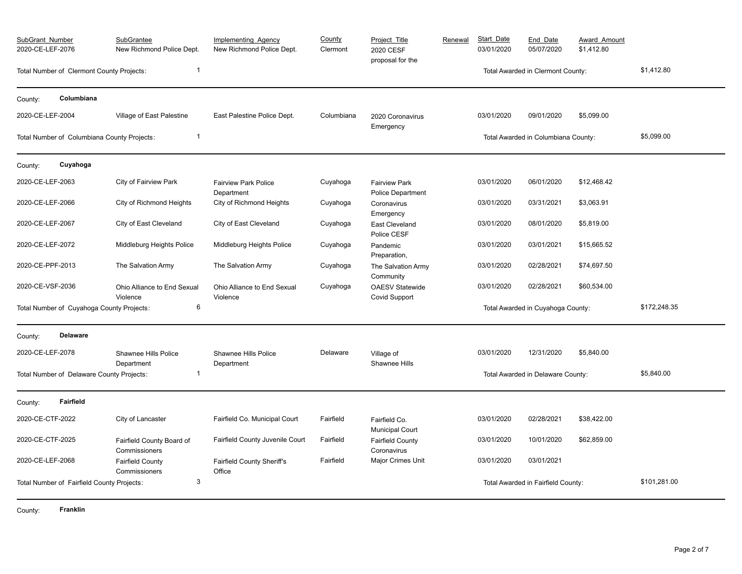| SubGrant Number<br>2020-CE-LEF-2076 |                                             | SubGrantee<br>New Richmond Police Dept.    | <b>Implementing Agency</b><br>New Richmond Police Dept. | County<br>Clermont | Project Title<br>2020 CESF<br>proposal for the | Renewal | Start Date<br>03/01/2020 | End Date<br>05/07/2020              | Award Amount<br>\$1,412.80 |              |
|-------------------------------------|---------------------------------------------|--------------------------------------------|---------------------------------------------------------|--------------------|------------------------------------------------|---------|--------------------------|-------------------------------------|----------------------------|--------------|
|                                     | Total Number of Clermont County Projects:   | $\overline{1}$                             |                                                         |                    |                                                |         |                          | Total Awarded in Clermont County:   | \$1,412.80                 |              |
| County:                             | Columbiana                                  |                                            |                                                         |                    |                                                |         |                          |                                     |                            |              |
| 2020-CE-LEF-2004                    |                                             | Village of East Palestine                  | East Palestine Police Dept.                             | Columbiana         | 2020 Coronavirus<br>Emergency                  |         | 03/01/2020               | 09/01/2020                          | \$5,099.00                 |              |
|                                     | Total Number of Columbiana County Projects: | $\overline{1}$                             |                                                         |                    |                                                |         |                          | Total Awarded in Columbiana County: |                            | \$5,099.00   |
| County:                             | Cuyahoga                                    |                                            |                                                         |                    |                                                |         |                          |                                     |                            |              |
| 2020-CE-LEF-2063                    |                                             | City of Fairview Park                      | <b>Fairview Park Police</b><br>Department               | Cuyahoga           | <b>Fairview Park</b><br>Police Department      |         | 03/01/2020               | 06/01/2020                          | \$12,468.42                |              |
| 2020-CE-LEF-2066                    |                                             | City of Richmond Heights                   | City of Richmond Heights                                | Cuyahoga           | Coronavirus<br>Emergency                       |         | 03/01/2020               | 03/31/2021                          | \$3,063.91                 |              |
| 2020-CE-LEF-2067                    |                                             | City of East Cleveland                     | City of East Cleveland                                  | Cuyahoga           | <b>East Cleveland</b><br>Police CESF           |         | 03/01/2020               | 08/01/2020                          | \$5,819.00                 |              |
| 2020-CE-LEF-2072                    |                                             | Middleburg Heights Police                  | Middleburg Heights Police                               | Cuyahoga           | Pandemic<br>Preparation,                       |         | 03/01/2020               | 03/01/2021                          | \$15,665.52                |              |
| 2020-CE-PPF-2013                    |                                             | The Salvation Army                         | The Salvation Army                                      | Cuyahoga           | The Salvation Army<br>Community                |         | 03/01/2020               | 02/28/2021                          | \$74,697.50                |              |
| 2020-CE-VSF-2036                    |                                             | Ohio Alliance to End Sexual<br>Violence    | Ohio Alliance to End Sexual<br>Violence                 | Cuyahoga           | <b>OAESV Statewide</b><br><b>Covid Support</b> |         | 03/01/2020               | 02/28/2021                          | \$60,534.00                |              |
|                                     | Total Number of Cuyahoga County Projects:   | 6                                          |                                                         |                    |                                                |         |                          | Total Awarded in Cuyahoga County:   |                            | \$172,248.35 |
| County:                             | <b>Delaware</b>                             |                                            |                                                         |                    |                                                |         |                          |                                     |                            |              |
| 2020-CE-LEF-2078                    |                                             | Shawnee Hills Police<br>Department         | Shawnee Hills Police<br>Department                      | Delaware           | Village of<br>Shawnee Hills                    |         | 03/01/2020               | 12/31/2020                          | \$5,840.00                 |              |
|                                     | Total Number of Delaware County Projects:   | $\mathbf{1}$                               |                                                         |                    |                                                |         |                          | Total Awarded in Delaware County:   |                            | \$5,840.00   |
| County:                             | <b>Fairfield</b>                            |                                            |                                                         |                    |                                                |         |                          |                                     |                            |              |
| 2020-CE-CTF-2022                    |                                             | City of Lancaster                          | Fairfield Co. Municipal Court                           | Fairfield          | Fairfield Co.<br><b>Municipal Court</b>        |         | 03/01/2020               | 02/28/2021                          | \$38,422.00                |              |
| 2020-CE-CTF-2025                    |                                             | Fairfield County Board of<br>Commissioners | Fairfield County Juvenile Court                         | Fairfield          | <b>Fairfield County</b><br>Coronavirus         |         | 03/01/2020               | 10/01/2020                          | \$62,859.00                |              |
| 2020-CE-LEF-2068                    |                                             | <b>Fairfield County</b><br>Commissioners   | Fairfield County Sheriff's<br>Office                    | Fairfield          | Major Crimes Unit                              |         | 03/01/2020               | 03/01/2021                          |                            |              |
|                                     | Total Number of Fairfield County Projects:  | 3                                          |                                                         |                    |                                                |         |                          | Total Awarded in Fairfield County:  |                            | \$101,281.00 |

County: **Franklin**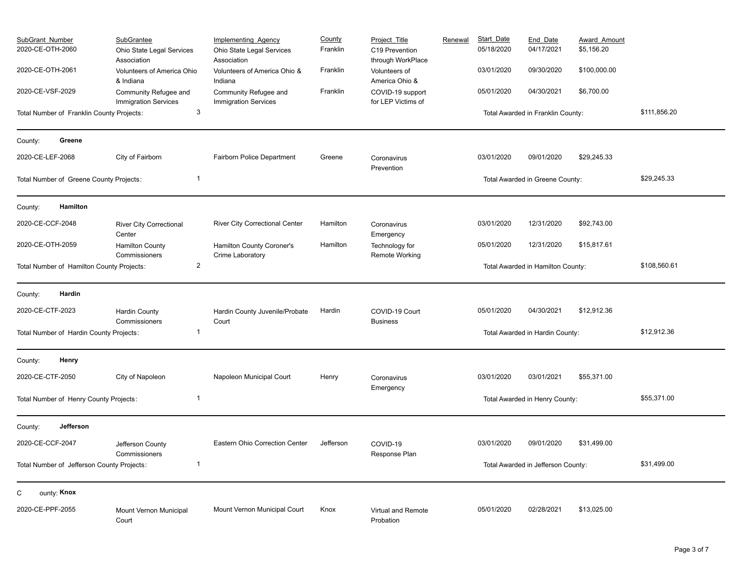| <b>SubGrant Number</b><br>2020-CE-OTH-2060 | <b>SubGrantee</b><br>Ohio State Legal Services<br>Association | Implementing Agency<br>Ohio State Legal Services<br>Association | County<br>Franklin | Project Title<br>C19 Prevention<br>through WorkPlace | Renewal | <b>Start Date</b><br>05/18/2020 | End_Date<br>04/17/2021             | <b>Award Amount</b><br>\$5,156.20 |              |
|--------------------------------------------|---------------------------------------------------------------|-----------------------------------------------------------------|--------------------|------------------------------------------------------|---------|---------------------------------|------------------------------------|-----------------------------------|--------------|
| 2020-CE-OTH-2061                           | Volunteers of America Ohio<br>& Indiana                       | Volunteers of America Ohio &<br>Indiana                         | Franklin           | Volunteers of<br>America Ohio &                      |         | 03/01/2020                      | 09/30/2020                         | \$100,000.00                      |              |
| 2020-CE-VSF-2029                           | Community Refugee and<br><b>Immigration Services</b>          | Community Refugee and<br><b>Immigration Services</b>            | Franklin           | COVID-19 support<br>for LEP Victims of               |         | 05/01/2020                      | 04/30/2021                         | \$6,700.00                        |              |
| Total Number of Franklin County Projects:  | $\mathbf{3}$                                                  |                                                                 |                    |                                                      |         |                                 | Total Awarded in Franklin County:  |                                   | \$111,856.20 |
| Greene<br>County:                          |                                                               |                                                                 |                    |                                                      |         |                                 |                                    |                                   |              |
| 2020-CE-LEF-2068                           | City of Fairborn                                              | <b>Fairborn Police Department</b>                               | Greene             | Coronavirus<br>Prevention                            |         | 03/01/2020                      | 09/01/2020                         | \$29,245.33                       |              |
| Total Number of Greene County Projects:    | $\overline{1}$                                                |                                                                 |                    |                                                      |         |                                 | Total Awarded in Greene County:    |                                   | \$29,245.33  |
| Hamilton<br>County:                        |                                                               |                                                                 |                    |                                                      |         |                                 |                                    |                                   |              |
| 2020-CE-CCF-2048                           | <b>River City Correctional</b><br>Center                      | <b>River City Correctional Center</b>                           | Hamilton           | Coronavirus<br>Emergency                             |         | 03/01/2020                      | 12/31/2020                         | \$92,743.00                       |              |
| 2020-CE-OTH-2059                           | <b>Hamilton County</b><br>Commissioners                       | Hamilton County Coroner's<br>Crime Laboratory                   | Hamilton           | Technology for<br><b>Remote Working</b>              |         | 05/01/2020                      | 12/31/2020                         | \$15,817.61                       |              |
| Total Number of Hamilton County Projects:  | $\overline{2}$                                                |                                                                 |                    |                                                      |         |                                 | Total Awarded in Hamilton County:  | \$108,560.61                      |              |
| Hardin<br>County:                          |                                                               |                                                                 |                    |                                                      |         |                                 |                                    |                                   |              |
| 2020-CE-CTF-2023                           | <b>Hardin County</b><br>Commissioners                         | Hardin County Juvenile/Probate<br>Court                         | Hardin             | COVID-19 Court<br><b>Business</b>                    |         | 05/01/2020                      | 04/30/2021                         | \$12,912.36                       |              |
| Total Number of Hardin County Projects:    | -1                                                            |                                                                 |                    |                                                      |         |                                 | Total Awarded in Hardin County:    |                                   | \$12,912.36  |
| Henry<br>County:                           |                                                               |                                                                 |                    |                                                      |         |                                 |                                    |                                   |              |
| 2020-CE-CTF-2050                           | City of Napoleon                                              | Napoleon Municipal Court                                        | Henry              | Coronavirus<br>Emergency                             |         | 03/01/2020                      | 03/01/2021                         | \$55,371.00                       |              |
| Total Number of Henry County Projects:     | $\overline{1}$                                                |                                                                 |                    |                                                      |         |                                 | Total Awarded in Henry County:     |                                   | \$55,371.00  |
| Jefferson<br>County:                       |                                                               |                                                                 |                    |                                                      |         |                                 |                                    |                                   |              |
| 2020-CE-CCF-2047                           | Jefferson County<br>Commissioners                             | Eastern Ohio Correction Center                                  | Jefferson          | COVID-19<br>Response Plan                            |         | 03/01/2020                      | 09/01/2020                         | \$31,499.00                       |              |
| Total Number of Jefferson County Projects: | -1                                                            |                                                                 |                    |                                                      |         |                                 | Total Awarded in Jefferson County: |                                   | \$31,499.00  |
| ounty: Knox<br>С                           |                                                               |                                                                 |                    |                                                      |         |                                 |                                    |                                   |              |
| 2020-CE-PPF-2055                           | Mount Vernon Municipal<br>Court                               | Mount Vernon Municipal Court                                    | Knox               | Virtual and Remote<br>Probation                      |         | 05/01/2020                      | 02/28/2021                         | \$13,025.00                       |              |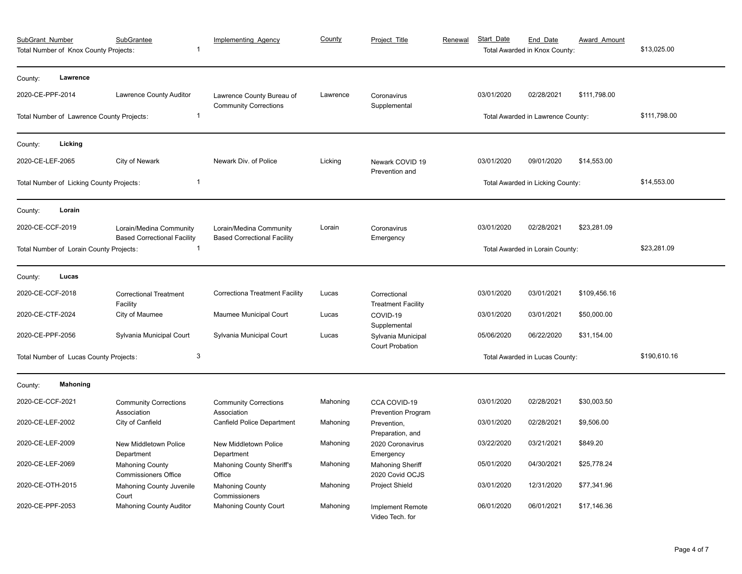| SubGrant Number<br><b>SubGrantee</b><br>1<br>Total Number of Knox County Projects:              |                                           |                                                                | <b>Implementing Agency</b>                      | County   | Project Title                                | Renewal | Start Date                      | End Date<br>Total Awarded in Knox County: | <b>Award Amount</b> | \$13,025.00  |
|-------------------------------------------------------------------------------------------------|-------------------------------------------|----------------------------------------------------------------|-------------------------------------------------|----------|----------------------------------------------|---------|---------------------------------|-------------------------------------------|---------------------|--------------|
| County:                                                                                         | Lawrence                                  |                                                                |                                                 |          |                                              |         |                                 |                                           |                     |              |
| 2020-CE-PPF-2014                                                                                |                                           | Lawrence County Auditor                                        | Lawrence County Bureau of                       | Lawrence | Coronavirus                                  |         | 03/01/2020                      | 02/28/2021                                | \$111,798.00        |              |
|                                                                                                 | Total Number of Lawrence County Projects: | $\mathbf{1}$                                                   | <b>Community Corrections</b>                    |          | Supplemental                                 |         |                                 | Total Awarded in Lawrence County:         | \$111,798.00        |              |
| County:                                                                                         | Licking                                   |                                                                |                                                 |          |                                              |         |                                 |                                           |                     |              |
| 2020-CE-LEF-2065                                                                                |                                           | City of Newark                                                 | Newark Div. of Police                           | Licking  | Newark COVID 19<br>Prevention and            |         | 03/01/2020                      | 09/01/2020                                | \$14,553.00         |              |
|                                                                                                 | Total Number of Licking County Projects:  | $\mathbf{1}$                                                   |                                                 |          |                                              |         |                                 | Total Awarded in Licking County:          |                     | \$14,553.00  |
| County:                                                                                         | Lorain                                    |                                                                |                                                 |          |                                              |         |                                 |                                           |                     |              |
| 2020-CE-CCF-2019                                                                                |                                           | Lorain/Medina Community                                        | Lorain/Medina Community                         | Lorain   | Coronavirus                                  |         | 03/01/2020                      | 02/28/2021                                | \$23,281.09         |              |
| <b>Based Correctional Facility</b><br>$\overline{1}$<br>Total Number of Lorain County Projects: |                                           |                                                                | <b>Based Correctional Facility</b><br>Emergency |          |                                              |         | Total Awarded in Lorain County: | \$23,281.09                               |                     |              |
| County:                                                                                         | Lucas                                     |                                                                |                                                 |          |                                              |         |                                 |                                           |                     |              |
| 2020-CE-CCF-2018                                                                                |                                           | <b>Correctional Treatment</b><br>Facility                      | <b>Correctiona Treatment Facility</b>           | Lucas    | Correctional<br><b>Treatment Facility</b>    |         | 03/01/2020                      | 03/01/2021                                | \$109,456.16        |              |
| 2020-CE-CTF-2024                                                                                |                                           | City of Maumee                                                 | Maumee Municipal Court                          | Lucas    | COVID-19<br>Supplemental                     |         | 03/01/2020                      | 03/01/2021                                | \$50,000.00         |              |
| 2020-CE-PPF-2056                                                                                |                                           | Sylvania Municipal Court                                       | Sylvania Municipal Court                        | Lucas    | Sylvania Municipal<br><b>Court Probation</b> |         | 05/06/2020                      | 06/22/2020                                | \$31,154.00         |              |
|                                                                                                 | Total Number of Lucas County Projects:    | 3                                                              |                                                 |          |                                              |         | Total Awarded in Lucas County:  |                                           |                     | \$190,610.16 |
| County:                                                                                         | <b>Mahoning</b>                           |                                                                |                                                 |          |                                              |         |                                 |                                           |                     |              |
| 2020-CE-CCF-2021                                                                                |                                           | <b>Community Corrections</b><br>Association                    | <b>Community Corrections</b><br>Association     | Mahoning | CCA COVID-19<br>Prevention Program           |         | 03/01/2020                      | 02/28/2021                                | \$30,003.50         |              |
| 2020-CE-LEF-2002                                                                                |                                           | City of Canfield                                               | Canfield Police Department                      | Mahoning | Prevention,                                  |         | 03/01/2020                      | 02/28/2021                                | \$9,506.00          |              |
| 2020-CE-LEF-2009                                                                                |                                           | New Middletown Police                                          | New Middletown Police                           | Mahoning | Preparation, and<br>2020 Coronavirus         |         | 03/22/2020                      | 03/21/2021                                | \$849.20            |              |
| 2020-CE-LEF-2069                                                                                |                                           | Department<br><b>Mahoning County</b>                           | Department<br>Mahoning County Sheriff's         | Mahoning | Emergency<br><b>Mahoning Sheriff</b>         |         | 05/01/2020                      | 04/30/2021                                | \$25,778.24         |              |
| 2020-CE-OTH-2015                                                                                |                                           | <b>Commissioners Office</b><br><b>Mahoning County Juvenile</b> | Office<br><b>Mahoning County</b>                | Mahoning | 2020 Covid OCJS<br>Project Shield            |         | 03/01/2020                      | 12/31/2020                                | \$77,341.96         |              |
| 2020-CE-PPF-2053                                                                                |                                           | Court<br><b>Mahoning County Auditor</b>                        | Commissioners<br><b>Mahoning County Court</b>   | Mahoning | <b>Implement Remote</b><br>Video Tech. for   |         | 06/01/2020                      | 06/01/2021                                | \$17,146.36         |              |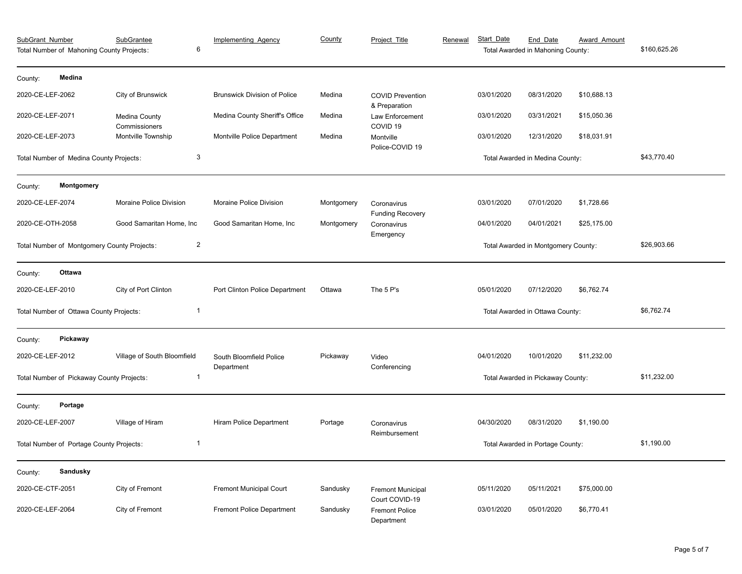| SubGrant_Number                                               | Total Number of Mahoning County Projects: | <b>SubGrantee</b><br>6         | <b>Implementing Agency</b>            | County     | Project Title                              | Renewal | Start Date                       | End Date<br>Total Awarded in Mahoning County: | <b>Award Amount</b> | \$160,625.26 |
|---------------------------------------------------------------|-------------------------------------------|--------------------------------|---------------------------------------|------------|--------------------------------------------|---------|----------------------------------|-----------------------------------------------|---------------------|--------------|
| County:                                                       | Medina                                    |                                |                                       |            |                                            |         |                                  |                                               |                     |              |
| 2020-CE-LEF-2062                                              |                                           | City of Brunswick              | <b>Brunswick Division of Police</b>   | Medina     | <b>COVID Prevention</b><br>& Preparation   |         | 03/01/2020                       | 08/31/2020                                    | \$10,688.13         |              |
| 2020-CE-LEF-2071                                              |                                           | Medina County<br>Commissioners | Medina County Sheriff's Office        | Medina     | Law Enforcement<br>COVID <sub>19</sub>     |         | 03/01/2020                       | 03/31/2021                                    | \$15,050.36         |              |
| 2020-CE-LEF-2073                                              |                                           | Montville Township             | Montville Police Department           | Medina     | Montville<br>Police-COVID 19               |         | 03/01/2020                       | 12/31/2020                                    | \$18,031.91         |              |
|                                                               | Total Number of Medina County Projects:   | $\mathbf{3}$                   |                                       |            |                                            |         |                                  | Total Awarded in Medina County:               |                     | \$43,770.40  |
| County:                                                       | Montgomery                                |                                |                                       |            |                                            |         |                                  |                                               |                     |              |
| 2020-CE-LEF-2074                                              |                                           | Moraine Police Division        | Moraine Police Division               | Montgomery | Coronavirus<br><b>Funding Recovery</b>     |         | 03/01/2020                       | 07/01/2020                                    | \$1,728.66          |              |
| 2020-CE-OTH-2058                                              |                                           | Good Samaritan Home, Inc       | Good Samaritan Home, Inc              | Montgomery | Coronavirus<br>Emergency                   |         | 04/01/2020                       | 04/01/2021                                    | \$25,175.00         |              |
| $\overline{2}$<br>Total Number of Montgomery County Projects: |                                           |                                |                                       |            |                                            |         |                                  | Total Awarded in Montgomery County:           |                     | \$26,903.66  |
| County:                                                       | Ottawa                                    |                                |                                       |            |                                            |         |                                  |                                               |                     |              |
| 2020-CE-LEF-2010                                              |                                           | City of Port Clinton           | Port Clinton Police Department        | Ottawa     | The 5 P's                                  |         | 05/01/2020                       | 07/12/2020                                    | \$6,762.74          |              |
|                                                               | Total Number of Ottawa County Projects:   | $\overline{1}$                 |                                       |            |                                            |         |                                  | Total Awarded in Ottawa County:               |                     | \$6,762.74   |
| County:                                                       | Pickaway                                  |                                |                                       |            |                                            |         |                                  |                                               |                     |              |
| 2020-CE-LEF-2012                                              |                                           | Village of South Bloomfield    | South Bloomfield Police<br>Department | Pickaway   | Video<br>Conferencing                      |         | 04/01/2020                       | 10/01/2020                                    | \$11,232.00         |              |
|                                                               | Total Number of Pickaway County Projects: | -1                             |                                       |            |                                            |         |                                  | Total Awarded in Pickaway County:             |                     | \$11,232.00  |
| County:                                                       | Portage                                   |                                |                                       |            |                                            |         |                                  |                                               |                     |              |
| 2020-CE-LEF-2007                                              |                                           | Village of Hiram               | Hiram Police Department               | Portage    | Coronavirus<br>Reimbursement               |         | 04/30/2020                       | 08/31/2020                                    | \$1,190.00          |              |
| $\overline{1}$<br>Total Number of Portage County Projects:    |                                           |                                |                                       |            |                                            |         | Total Awarded in Portage County: |                                               | \$1,190.00          |              |
| County:                                                       | Sandusky                                  |                                |                                       |            |                                            |         |                                  |                                               |                     |              |
| 2020-CE-CTF-2051                                              |                                           | City of Fremont                | <b>Fremont Municipal Court</b>        | Sandusky   | <b>Fremont Municipal</b><br>Court COVID-19 |         | 05/11/2020                       | 05/11/2021                                    | \$75,000.00         |              |
| 2020-CE-LEF-2064                                              |                                           | City of Fremont                | <b>Fremont Police Department</b>      | Sandusky   | <b>Fremont Police</b><br>Department        |         | 03/01/2020                       | 05/01/2020                                    | \$6,770.41          |              |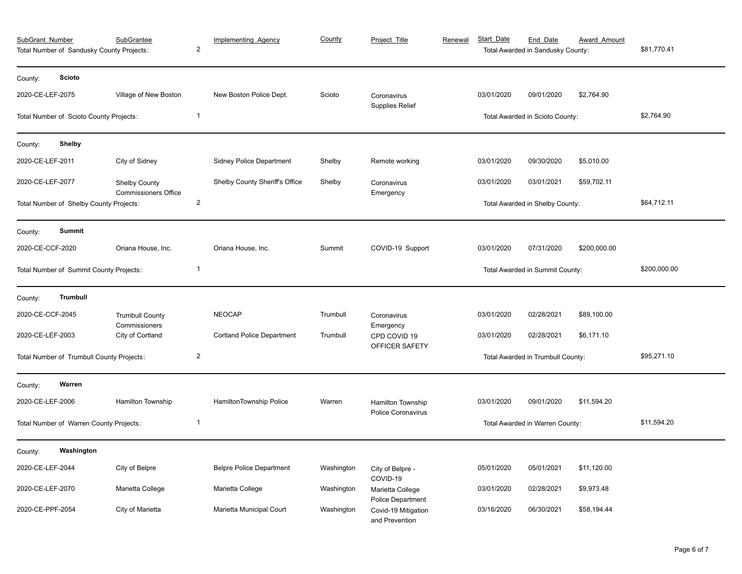| SubGrant_Number<br>Total Number of Sandusky County Projects: | <b>SubGrantee</b>                                   | $\overline{\mathbf{c}}$ | <b>Implementing Agency</b>        | County     | Project Title                                         | Renewal | Start Date                      | End Date<br>Total Awarded in Sandusky County: | <b>Award Amount</b> | \$81,770.41  |
|--------------------------------------------------------------|-----------------------------------------------------|-------------------------|-----------------------------------|------------|-------------------------------------------------------|---------|---------------------------------|-----------------------------------------------|---------------------|--------------|
| <b>Scioto</b><br>County:                                     |                                                     |                         |                                   |            |                                                       |         |                                 |                                               |                     |              |
| 2020-CE-LEF-2075                                             | Village of New Boston                               |                         | New Boston Police Dept.           | Scioto     | Coronavirus                                           |         | 03/01/2020                      | 09/01/2020                                    | \$2,764.90          |              |
| Total Number of Scioto County Projects:                      |                                                     | $\overline{\mathbf{1}}$ |                                   |            | <b>Supplies Relief</b>                                |         | Total Awarded in Scioto County: |                                               |                     | \$2,764.90   |
| Shelby<br>County:                                            |                                                     |                         |                                   |            |                                                       |         |                                 |                                               |                     |              |
| 2020-CE-LEF-2011                                             | City of Sidney                                      |                         | <b>Sidney Police Department</b>   | Shelby     | Remote working                                        |         | 03/01/2020                      | 09/30/2020                                    | \$5,010.00          |              |
| 2020-CE-LEF-2077                                             | <b>Shelby County</b><br><b>Commissioners Office</b> |                         | Shelby County Sheriff's Office    | Shelby     | Coronavirus<br>Emergency                              |         | 03/01/2020                      | 03/01/2021                                    | \$59,702.11         |              |
| Total Number of Shelby County Projects:                      |                                                     | $\overline{c}$          |                                   |            |                                                       |         | Total Awarded in Shelby County: | \$64,712.11                                   |                     |              |
| <b>Summit</b><br>County:                                     |                                                     |                         |                                   |            |                                                       |         |                                 |                                               |                     |              |
| 2020-CE-CCF-2020                                             | Oriana House, Inc.                                  |                         | Oriana House, Inc.                | Summit     | COVID-19 Support                                      |         | 03/01/2020                      | 07/31/2020                                    | \$200,000.00        |              |
| Total Number of Summit County Projects:                      |                                                     | $\overline{\mathbf{1}}$ |                                   |            |                                                       |         |                                 | Total Awarded in Summit County:               |                     | \$200,000.00 |
| Trumbull<br>County:                                          |                                                     |                         |                                   |            |                                                       |         |                                 |                                               |                     |              |
| 2020-CE-CCF-2045                                             | <b>Trumbull County</b>                              |                         | <b>NEOCAP</b>                     | Trumbull   | Coronavirus                                           |         | 03/01/2020                      | 02/28/2021                                    | \$89,100.00         |              |
| 2020-CE-LEF-2003                                             | Commissioners<br>City of Cortland                   |                         | <b>Cortland Police Department</b> | Trumbull   | Emergency<br>CPD COVID 19<br>OFFICER SAFETY           |         | 03/01/2020                      | 02/28/2021                                    | \$6,171.10          |              |
| Total Number of Trumbull County Projects:                    |                                                     | 2                       |                                   |            |                                                       |         |                                 | Total Awarded in Trumbull County:             |                     | \$95,271.10  |
| Warren<br>County:                                            |                                                     |                         |                                   |            |                                                       |         |                                 |                                               |                     |              |
| 2020-CE-LEF-2006                                             | Hamilton Township                                   |                         | HamiltonTownship Police           | Warren     | <b>Hamilton Township</b><br><b>Police Coronavirus</b> |         | 03/01/2020                      | 09/01/2020                                    | \$11,594.20         |              |
| Total Number of Warren County Projects:                      |                                                     | $\overline{1}$          |                                   |            |                                                       |         |                                 | Total Awarded in Warren County:               |                     | \$11,594.20  |
| Washington<br>County:                                        |                                                     |                         |                                   |            |                                                       |         |                                 |                                               |                     |              |
| 2020-CE-LEF-2044                                             | City of Belpre                                      |                         | <b>Belpre Police Department</b>   | Washington | City of Belpre -<br>COVID-19                          |         | 05/01/2020                      | 05/01/2021                                    | \$11,120.00         |              |
| 2020-CE-LEF-2070                                             | Marietta College                                    |                         | Marietta College                  | Washington | Marietta College<br><b>Police Department</b>          |         | 03/01/2020                      | 02/28/2021                                    | \$9,973.48          |              |
| 2020-CE-PPF-2054                                             | City of Marietta                                    |                         | Marietta Municipal Court          | Washington | Covid-19 Mitigation<br>and Prevention                 |         | 03/16/2020                      | 06/30/2021                                    | \$58,194.44         |              |